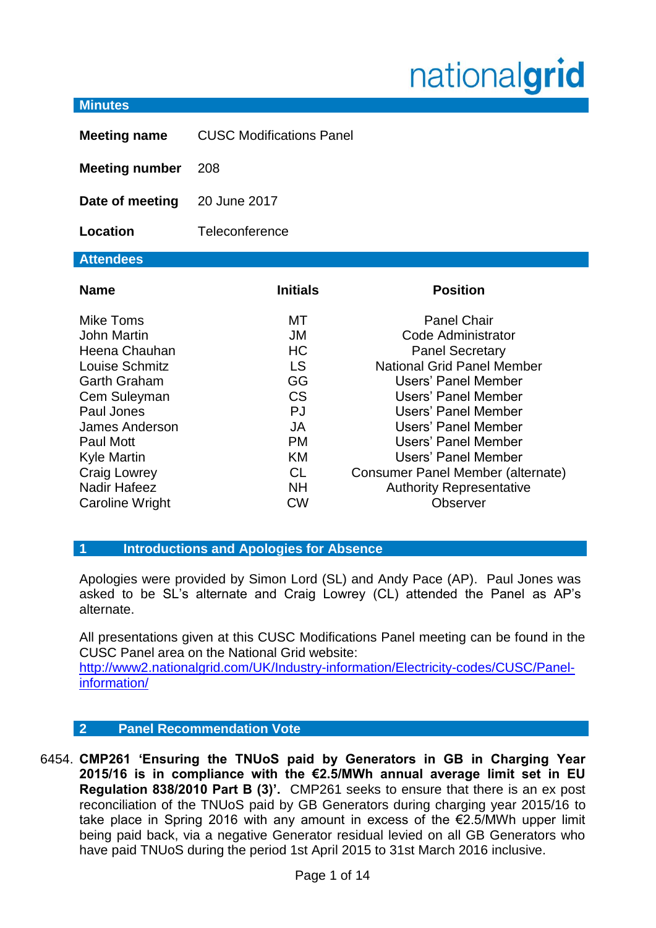# nationalgrid

Authority Representative **Observer** 

# **Minutes Meeting name** CUSC Modifications Panel **Meeting number** 208 **Date of meeting** 20 June 2017 Location Teleconference **Attendees Name Initials Position** Mike Toms **MT** Panel Chair John Martin JM Code Administrator Heena Chauhan **HC** HC Panel Secretary Louise Schmitz LS National Grid Panel Member Garth Graham GG GG Users' Panel Member Cem Suleyman CS Users' Panel Member Paul Jones PJ Users' Panel Member James Anderson JA Users' Panel Member Paul Mott PM Users' Panel Member Kyle Martin KM Users' Panel Member Craig Lowrey **CL** Consumer Panel Member (alternate)

**1 Introductions and Apologies for Absence**

Apologies were provided by Simon Lord (SL) and Andy Pace (AP). Paul Jones was asked to be SL's alternate and Craig Lowrey (CL) attended the Panel as AP's alternate.

NH CW

All presentations given at this CUSC Modifications Panel meeting can be found in the CUSC Panel area on the National Grid website:

[http://www2.nationalgrid.com/UK/Industry-information/Electricity-codes/CUSC/Panel](http://www2.nationalgrid.com/UK/Industry-information/Electricity-codes/CUSC/Panel-information/)[information/](http://www2.nationalgrid.com/UK/Industry-information/Electricity-codes/CUSC/Panel-information/)

# **2 Panel Recommendation Vote**

Nadir Hafeez Caroline Wright

6454. **CMP261 'Ensuring the TNUoS paid by Generators in GB in Charging Year 2015/16 is in compliance with the €2.5/MWh annual average limit set in EU Regulation 838/2010 Part B (3)'.** CMP261 seeks to ensure that there is an ex post reconciliation of the TNUoS paid by GB Generators during charging year 2015/16 to take place in Spring 2016 with any amount in excess of the €2.5/MWh upper limit being paid back, via a negative Generator residual levied on all GB Generators who have paid TNUoS during the period 1st April 2015 to 31st March 2016 inclusive.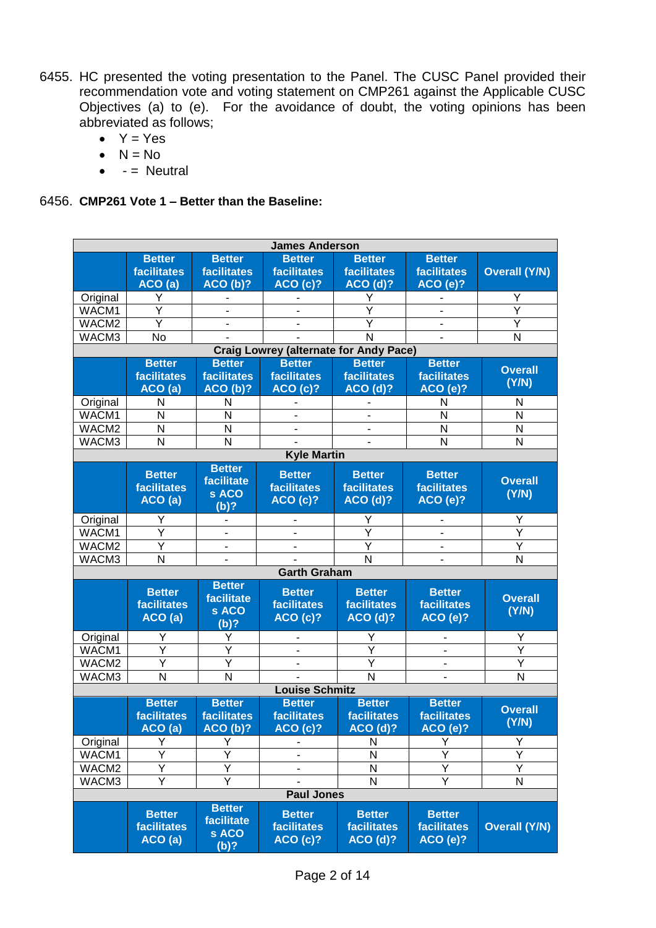- 6455. HC presented the voting presentation to the Panel. The CUSC Panel provided their recommendation vote and voting statement on CMP261 against the Applicable CUSC Objectives (a) to (e). For the avoidance of doubt, the voting opinions has been abbreviated as follows;
	- $Y = Yes$
	- $\bullet$  N = No
	- $\bullet$   $=$  Neutral

#### 6456. **CMP261 Vote 1 – Better than the Baseline:**

| <b>James Anderson</b>                         |                                                |                                                        |                                                            |                                                        |                                                        |                         |  |  |
|-----------------------------------------------|------------------------------------------------|--------------------------------------------------------|------------------------------------------------------------|--------------------------------------------------------|--------------------------------------------------------|-------------------------|--|--|
|                                               | <b>Better</b><br>facilitates<br>ACO(a)         | <b>Better</b><br><b>facilitates</b><br><b>ACO (b)?</b> | <b>Better</b><br><b>facilitates</b><br>ACO(C) <sub>2</sub> | <b>Better</b><br>facilitates<br><b>ACO (d)?</b>        | <b>Better</b><br><b>facilitates</b><br>ACO(e)?         | <b>Overall (Y/N)</b>    |  |  |
| Original                                      | Y                                              |                                                        |                                                            | Y                                                      |                                                        | Y                       |  |  |
| WACM1                                         | Y                                              |                                                        |                                                            | Y                                                      |                                                        | Υ                       |  |  |
| WACM2                                         | Ÿ                                              |                                                        |                                                            | Y                                                      | ÷,                                                     | Υ                       |  |  |
| WACM3                                         | No                                             |                                                        |                                                            | N                                                      |                                                        | N                       |  |  |
| <b>Craig Lowrey (alternate for Andy Pace)</b> |                                                |                                                        |                                                            |                                                        |                                                        |                         |  |  |
|                                               | <b>Better</b><br>facilitates<br>ACO (a)        | <b>Better</b><br>facilitates<br>ACO(b)?                | <b>Better</b><br><b>facilitates</b><br>ACO(c)?             | <b>Better</b><br>facilitates<br>ACO(d)?                | <b>Better</b><br>facilitates<br><b>ACO (e)?</b>        | <b>Overall</b><br>(Y/N) |  |  |
| Original                                      | N                                              | N                                                      |                                                            |                                                        | N                                                      | N                       |  |  |
| WACM1                                         | N                                              | N                                                      |                                                            |                                                        | N                                                      | N                       |  |  |
| WACM2                                         | N                                              | N                                                      |                                                            |                                                        | N                                                      | N                       |  |  |
| WACM3                                         | N                                              | N                                                      |                                                            |                                                        | N                                                      | N                       |  |  |
|                                               |                                                |                                                        | <b>Kyle Martin</b>                                         |                                                        |                                                        |                         |  |  |
|                                               | <b>Better</b><br><b>facilitates</b><br>ACO(a)  | <b>Better</b><br>facilitate<br>s ACO<br>$(b)$ ?        | <b>Better</b><br>facilitates<br>ACO(c)?                    | <b>Better</b><br><b>facilitates</b><br><b>ACO (d)?</b> | <b>Better</b><br><b>facilitates</b><br><b>ACO (e)?</b> | <b>Overall</b><br>(Y/N) |  |  |
| Original                                      | Y                                              |                                                        |                                                            |                                                        |                                                        | Y                       |  |  |
| WACM1                                         | Ý                                              |                                                        |                                                            | Y                                                      |                                                        | Ý                       |  |  |
| WACM2                                         | Ý                                              |                                                        |                                                            | Ý                                                      |                                                        | $\overline{\mathsf{Y}}$ |  |  |
| WACM3                                         | N                                              |                                                        |                                                            | N                                                      |                                                        | N                       |  |  |
|                                               |                                                |                                                        | <b>Garth Graham</b>                                        |                                                        |                                                        |                         |  |  |
|                                               | <b>Better</b><br><b>facilitates</b><br>ACO(a)  | <b>Better</b><br>facilitate<br>s ACO<br>$(b)$ ?        | <b>Better</b><br><b>facilitates</b><br>ACO(C)?             | <b>Better</b><br><b>facilitates</b><br><b>ACO (d)?</b> | <b>Better</b><br><b>facilitates</b><br>ACO(e)?         | <b>Overall</b><br>(Y/N) |  |  |
| Original                                      | Y                                              | Y                                                      |                                                            | Y                                                      |                                                        | Y                       |  |  |
| WACM1                                         | Y                                              | Ý                                                      |                                                            | Y                                                      |                                                        | Ý                       |  |  |
| WACM2                                         | Y                                              | Ý                                                      |                                                            | Y                                                      |                                                        | Y                       |  |  |
| WACM3                                         | N                                              | N                                                      |                                                            | N                                                      |                                                        | N                       |  |  |
|                                               |                                                |                                                        | <b>Louise Schmitz</b>                                      |                                                        |                                                        |                         |  |  |
|                                               | <b>Better</b><br>facilitates<br>ACO (a)        | <b>Better</b><br><b>facilitates</b><br>ACO (b)?        | <b>Better</b><br><b>facilitates</b><br><b>ACO (c)?</b>     | <b>Better</b><br><b>facilitates</b><br><b>ACO (d)?</b> | <b>Better</b><br><b>facilitates</b><br><b>ACO (e)?</b> | <b>Overall</b><br>(Y/N) |  |  |
| Original                                      | Υ                                              | Υ                                                      |                                                            | N                                                      | Υ                                                      | Υ                       |  |  |
| WACM1                                         | Y                                              | Υ                                                      |                                                            | N                                                      | Υ                                                      | Υ                       |  |  |
| WACM2                                         | Y                                              | Υ                                                      |                                                            | N                                                      | Υ                                                      | Υ                       |  |  |
| WACM3                                         | Y                                              | Υ                                                      |                                                            | N                                                      | Y                                                      | N                       |  |  |
|                                               |                                                |                                                        | <b>Paul Jones</b>                                          |                                                        |                                                        |                         |  |  |
|                                               | <b>Better</b><br><b>facilitates</b><br>ACO (a) | <b>Better</b><br>facilitate<br>s ACO<br>(b)?           | <b>Better</b><br><b>facilitates</b><br>ACO(c)?             | <b>Better</b><br>facilitates<br><b>ACO (d)?</b>        | <b>Better</b><br><b>facilitates</b><br><b>ACO (e)?</b> | <b>Overall (Y/N)</b>    |  |  |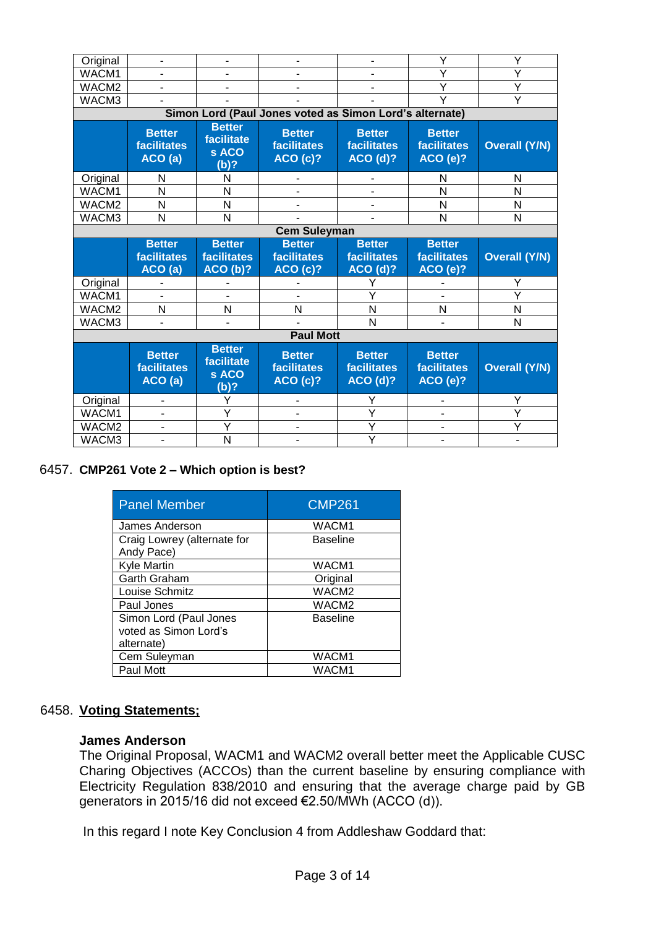| Original                                                |                                                |                                                 |                                                | ٠                                              | Y                                                      | Υ                    |  |  |
|---------------------------------------------------------|------------------------------------------------|-------------------------------------------------|------------------------------------------------|------------------------------------------------|--------------------------------------------------------|----------------------|--|--|
| WACM1                                                   |                                                |                                                 |                                                | ۰                                              | Ÿ                                                      | Y                    |  |  |
| WACM2                                                   | $\overline{a}$                                 |                                                 |                                                | ٠                                              | Ÿ                                                      | Υ                    |  |  |
| WACM3                                                   |                                                |                                                 |                                                |                                                | Y                                                      | Y                    |  |  |
| Simon Lord (Paul Jones voted as Simon Lord's alternate) |                                                |                                                 |                                                |                                                |                                                        |                      |  |  |
|                                                         | <b>Better</b><br><b>facilitates</b><br>ACO (a) | <b>Better</b><br>facilitate<br>s ACO<br>$(b)$ ? | <b>Better</b><br><b>facilitates</b><br>ACO(C)? | <b>Better</b><br><b>facilitates</b><br>ACO(d)? | <b>Better</b><br><b>facilitates</b><br>ACO(e)?         | <b>Overall (Y/N)</b> |  |  |
| Original                                                | N                                              | N                                               |                                                |                                                | N                                                      | N                    |  |  |
| WACM1                                                   | N                                              | N                                               |                                                | ۰                                              | N                                                      | N                    |  |  |
| WACM2                                                   | N                                              | N                                               |                                                |                                                | N                                                      | N                    |  |  |
| WACM3                                                   | N                                              | N                                               |                                                |                                                | N                                                      | N                    |  |  |
| <b>Cem Suleyman</b>                                     |                                                |                                                 |                                                |                                                |                                                        |                      |  |  |
|                                                         | <b>Better</b><br><b>facilitates</b><br>ACO(a)  | <b>Better</b><br>facilitates<br><b>ACO (b)?</b> | <b>Better</b><br><b>facilitates</b><br>ACO(c)? | <b>Better</b><br><b>facilitates</b><br>ACO(d)? | <b>Better</b><br><b>facilitates</b><br>$ACO(e)$ ?      | <b>Overall (Y/N)</b> |  |  |
| Original                                                |                                                |                                                 |                                                |                                                |                                                        | Υ                    |  |  |
| WACM1                                                   |                                                |                                                 |                                                | Υ                                              |                                                        | Y                    |  |  |
| WACM2                                                   | N                                              | N                                               | N                                              | N                                              | N                                                      | N                    |  |  |
| WACM3                                                   | $\blacksquare$                                 | ÷.                                              |                                                | N                                              |                                                        | N                    |  |  |
| <b>Paul Mott</b>                                        |                                                |                                                 |                                                |                                                |                                                        |                      |  |  |
|                                                         | <b>Better</b><br>facilitates<br>ACO(a)         | <b>Better</b><br>facilitate<br>s ACO<br>$(b)$ ? | <b>Better</b><br><b>facilitates</b><br>ACO(c)? | <b>Better</b><br><b>facilitates</b><br>ACO(d)? | <b>Better</b><br><b>facilitates</b><br><b>ACO (e)?</b> | <b>Overall (Y/N)</b> |  |  |
| Original                                                | $\overline{\phantom{a}}$                       | Y                                               |                                                | Y                                              |                                                        | Y                    |  |  |
| WACM1                                                   |                                                | Ÿ                                               |                                                | Ÿ                                              |                                                        | Υ                    |  |  |
| WACM2                                                   | $\frac{1}{2}$                                  | Ÿ                                               |                                                | Ÿ                                              | $\blacksquare$                                         | Υ                    |  |  |
| WACM3                                                   | -                                              | N                                               |                                                | Ÿ                                              | $\blacksquare$                                         |                      |  |  |

#### 6457. **CMP261 Vote 2 – Which option is best?**

| <b>Panel Member</b>                                           | <b>CMP261</b>     |  |  |
|---------------------------------------------------------------|-------------------|--|--|
| James Anderson                                                | WACM1             |  |  |
| Craig Lowrey (alternate for<br>Andy Pace)                     | <b>Baseline</b>   |  |  |
| <b>Kyle Martin</b>                                            | WACM1             |  |  |
| <b>Garth Graham</b>                                           | Original          |  |  |
| Louise Schmitz                                                | WACM <sub>2</sub> |  |  |
| Paul Jones                                                    | WACM <sub>2</sub> |  |  |
| Simon Lord (Paul Jones<br>voted as Simon Lord's<br>alternate) | <b>Baseline</b>   |  |  |
| Cem Suleyman                                                  | WACM1             |  |  |
| Paul Mott                                                     | WACM1             |  |  |

#### 6458. **Voting Statements;**

#### **James Anderson**

The Original Proposal, WACM1 and WACM2 overall better meet the Applicable CUSC Charing Objectives (ACCOs) than the current baseline by ensuring compliance with Electricity Regulation 838/2010 and ensuring that the average charge paid by GB generators in 2015/16 did not exceed €2.50/MWh (ACCO (d)).

In this regard I note Key Conclusion 4 from Addleshaw Goddard that: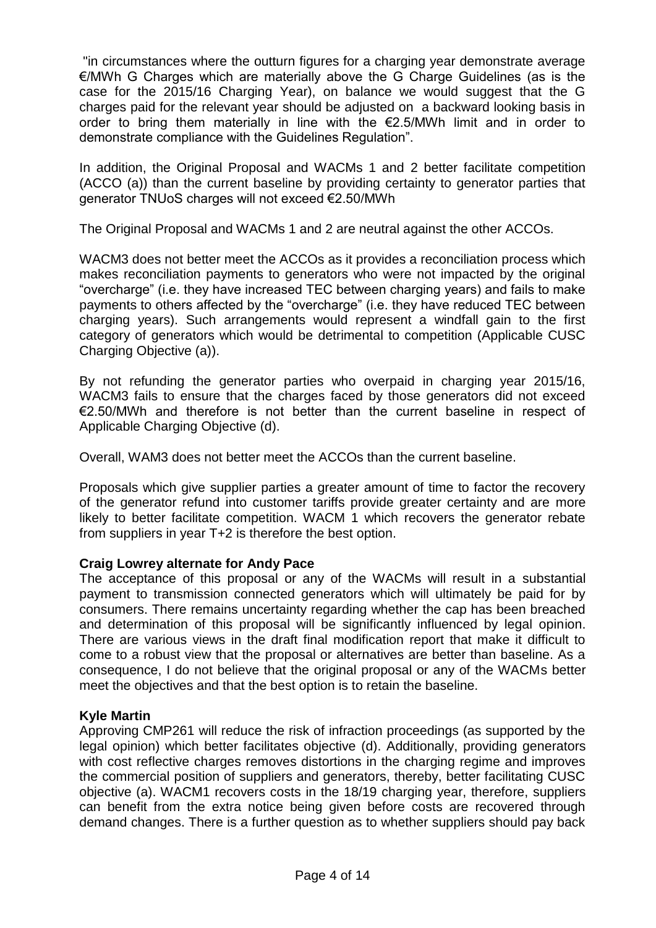"in circumstances where the outturn figures for a charging year demonstrate average €/MWh G Charges which are materially above the G Charge Guidelines (as is the case for the 2015/16 Charging Year), on balance we would suggest that the G charges paid for the relevant year should be adjusted on a backward looking basis in order to bring them materially in line with the  $E2.5/MWh$  limit and in order to demonstrate compliance with the Guidelines Regulation".

In addition, the Original Proposal and WACMs 1 and 2 better facilitate competition (ACCO (a)) than the current baseline by providing certainty to generator parties that generator TNUoS charges will not exceed €2.50/MWh

The Original Proposal and WACMs 1 and 2 are neutral against the other ACCOs.

WACM3 does not better meet the ACCOs as it provides a reconciliation process which makes reconciliation payments to generators who were not impacted by the original "overcharge" (i.e. they have increased TEC between charging years) and fails to make payments to others affected by the "overcharge" (i.e. they have reduced TEC between charging years). Such arrangements would represent a windfall gain to the first category of generators which would be detrimental to competition (Applicable CUSC Charging Objective (a)).

By not refunding the generator parties who overpaid in charging year 2015/16, WACM3 fails to ensure that the charges faced by those generators did not exceed €2.50/MWh and therefore is not better than the current baseline in respect of Applicable Charging Objective (d).

Overall, WAM3 does not better meet the ACCOs than the current baseline.

Proposals which give supplier parties a greater amount of time to factor the recovery of the generator refund into customer tariffs provide greater certainty and are more likely to better facilitate competition. WACM 1 which recovers the generator rebate from suppliers in year T+2 is therefore the best option.

#### **Craig Lowrey alternate for Andy Pace**

The acceptance of this proposal or any of the WACMs will result in a substantial payment to transmission connected generators which will ultimately be paid for by consumers. There remains uncertainty regarding whether the cap has been breached and determination of this proposal will be significantly influenced by legal opinion. There are various views in the draft final modification report that make it difficult to come to a robust view that the proposal or alternatives are better than baseline. As a consequence, I do not believe that the original proposal or any of the WACMs better meet the objectives and that the best option is to retain the baseline.

#### **Kyle Martin**

Approving CMP261 will reduce the risk of infraction proceedings (as supported by the legal opinion) which better facilitates objective (d). Additionally, providing generators with cost reflective charges removes distortions in the charging regime and improves the commercial position of suppliers and generators, thereby, better facilitating CUSC objective (a). WACM1 recovers costs in the 18/19 charging year, therefore, suppliers can benefit from the extra notice being given before costs are recovered through demand changes. There is a further question as to whether suppliers should pay back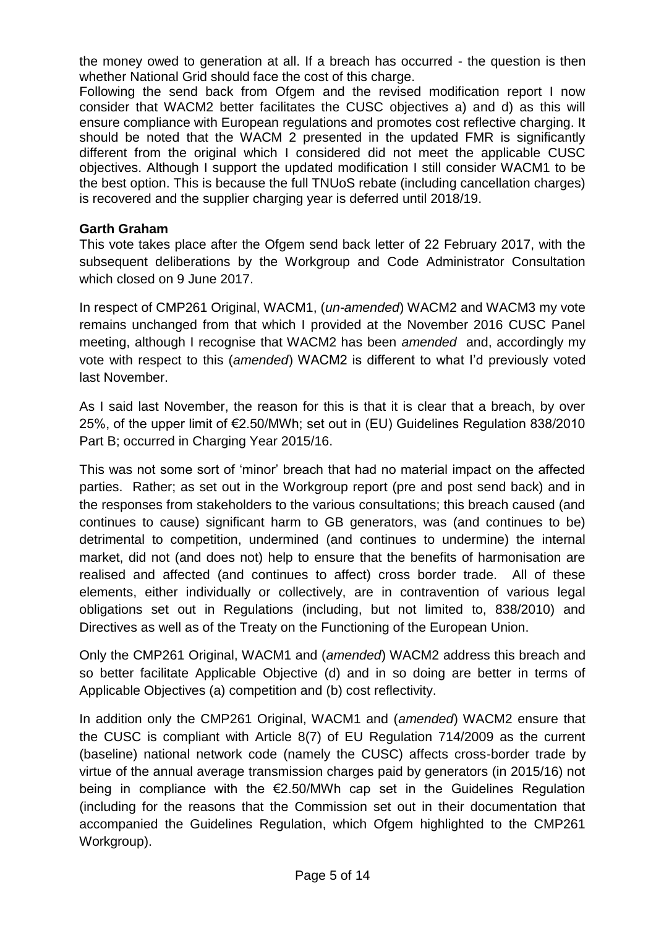the money owed to generation at all. If a breach has occurred - the question is then whether National Grid should face the cost of this charge.

Following the send back from Ofgem and the revised modification report I now consider that WACM2 better facilitates the CUSC objectives a) and d) as this will ensure compliance with European regulations and promotes cost reflective charging. It should be noted that the WACM 2 presented in the updated FMR is significantly different from the original which I considered did not meet the applicable CUSC objectives. Although I support the updated modification I still consider WACM1 to be the best option. This is because the full TNUoS rebate (including cancellation charges) is recovered and the supplier charging year is deferred until 2018/19.

### **Garth Graham**

This vote takes place after the Ofgem send back letter of 22 February 2017, with the subsequent deliberations by the Workgroup and Code Administrator Consultation which closed on 9 June 2017.

In respect of CMP261 Original, WACM1, (*un-amended*) WACM2 and WACM3 my vote remains unchanged from that which I provided at the November 2016 CUSC Panel meeting, although I recognise that WACM2 has been *amended* and, accordingly my vote with respect to this (*amended*) WACM2 is different to what I'd previously voted last November.

As I said last November, the reason for this is that it is clear that a breach, by over 25%, of the upper limit of €2.50/MWh; set out in (EU) Guidelines Regulation 838/2010 Part B; occurred in Charging Year 2015/16.

This was not some sort of 'minor' breach that had no material impact on the affected parties. Rather; as set out in the Workgroup report (pre and post send back) and in the responses from stakeholders to the various consultations; this breach caused (and continues to cause) significant harm to GB generators, was (and continues to be) detrimental to competition, undermined (and continues to undermine) the internal market, did not (and does not) help to ensure that the benefits of harmonisation are realised and affected (and continues to affect) cross border trade. All of these elements, either individually or collectively, are in contravention of various legal obligations set out in Regulations (including, but not limited to, 838/2010) and Directives as well as of the Treaty on the Functioning of the European Union.

Only the CMP261 Original, WACM1 and (*amended*) WACM2 address this breach and so better facilitate Applicable Objective (d) and in so doing are better in terms of Applicable Objectives (a) competition and (b) cost reflectivity.

In addition only the CMP261 Original, WACM1 and (*amended*) WACM2 ensure that the CUSC is compliant with Article 8(7) of EU Regulation 714/2009 as the current (baseline) national network code (namely the CUSC) affects cross-border trade by virtue of the annual average transmission charges paid by generators (in 2015/16) not being in compliance with the €2.50/MWh cap set in the Guidelines Regulation (including for the reasons that the Commission set out in their documentation that accompanied the Guidelines Regulation, which Ofgem highlighted to the CMP261 Workgroup).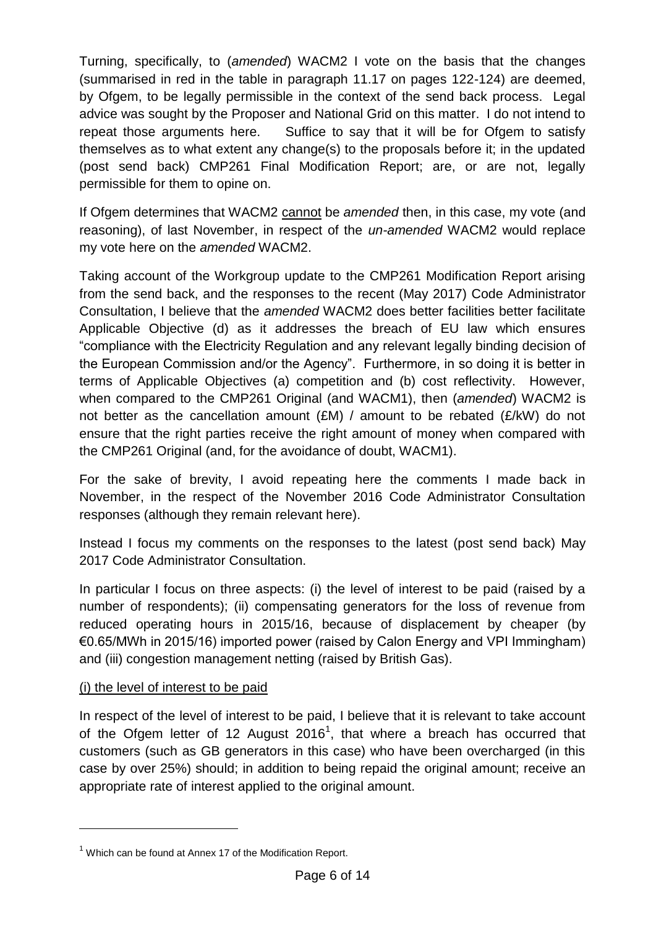Turning, specifically, to (*amended*) WACM2 I vote on the basis that the changes (summarised in red in the table in paragraph 11.17 on pages 122-124) are deemed, by Ofgem, to be legally permissible in the context of the send back process. Legal advice was sought by the Proposer and National Grid on this matter. I do not intend to repeat those arguments here. Suffice to say that it will be for Ofgem to satisfy themselves as to what extent any change(s) to the proposals before it; in the updated (post send back) CMP261 Final Modification Report; are, or are not, legally permissible for them to opine on.

If Ofgem determines that WACM2 cannot be *amended* then, in this case, my vote (and reasoning), of last November, in respect of the *un-amended* WACM2 would replace my vote here on the *amended* WACM2.

Taking account of the Workgroup update to the CMP261 Modification Report arising from the send back, and the responses to the recent (May 2017) Code Administrator Consultation, I believe that the *amended* WACM2 does better facilities better facilitate Applicable Objective (d) as it addresses the breach of EU law which ensures "compliance with the Electricity Regulation and any relevant legally binding decision of the European Commission and/or the Agency". Furthermore, in so doing it is better in terms of Applicable Objectives (a) competition and (b) cost reflectivity. However, when compared to the CMP261 Original (and WACM1), then (*amended*) WACM2 is not better as the cancellation amount (£M) / amount to be rebated (£/kW) do not ensure that the right parties receive the right amount of money when compared with the CMP261 Original (and, for the avoidance of doubt, WACM1).

For the sake of brevity, I avoid repeating here the comments I made back in November, in the respect of the November 2016 Code Administrator Consultation responses (although they remain relevant here).

Instead I focus my comments on the responses to the latest (post send back) May 2017 Code Administrator Consultation.

In particular I focus on three aspects: (i) the level of interest to be paid (raised by a number of respondents); (ii) compensating generators for the loss of revenue from reduced operating hours in 2015/16, because of displacement by cheaper (by €0.65/MWh in 2015/16) imported power (raised by Calon Energy and VPI Immingham) and (iii) congestion management netting (raised by British Gas).

#### (i) the level of interest to be paid

-

In respect of the level of interest to be paid, I believe that it is relevant to take account of the Ofgem letter of 12 August 2016<sup>1</sup>, that where a breach has occurred that customers (such as GB generators in this case) who have been overcharged (in this case by over 25%) should; in addition to being repaid the original amount; receive an appropriate rate of interest applied to the original amount.

 $1$  Which can be found at Annex 17 of the Modification Report.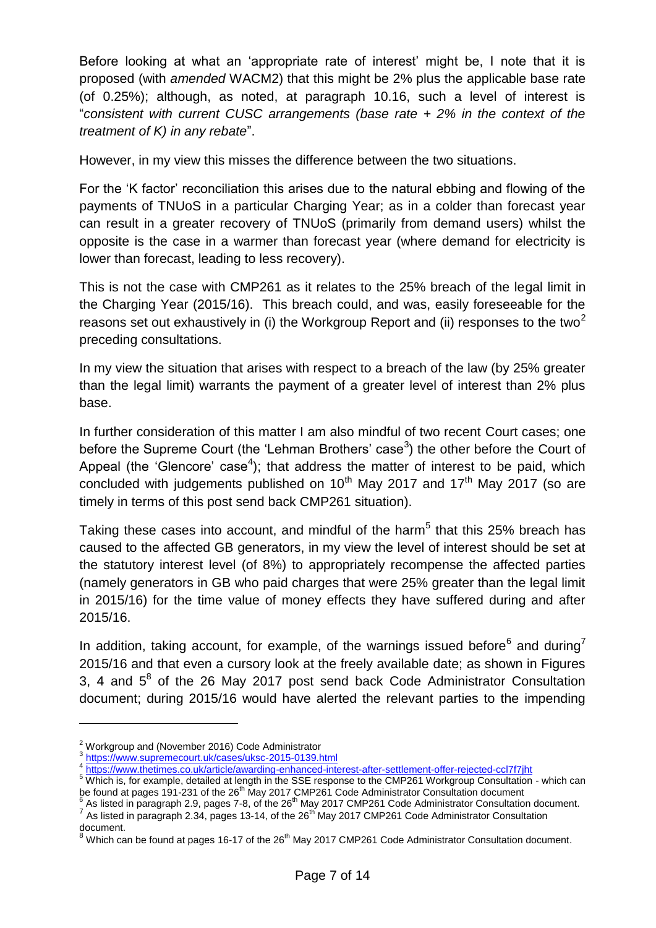Before looking at what an 'appropriate rate of interest' might be, I note that it is proposed (with *amended* WACM2) that this might be 2% plus the applicable base rate (of 0.25%); although, as noted, at paragraph 10.16, such a level of interest is "*consistent with current CUSC arrangements (base rate + 2% in the context of the treatment of K) in any rebate*".

However, in my view this misses the difference between the two situations.

For the 'K factor' reconciliation this arises due to the natural ebbing and flowing of the payments of TNUoS in a particular Charging Year; as in a colder than forecast year can result in a greater recovery of TNUoS (primarily from demand users) whilst the opposite is the case in a warmer than forecast year (where demand for electricity is lower than forecast, leading to less recovery).

This is not the case with CMP261 as it relates to the 25% breach of the legal limit in the Charging Year (2015/16). This breach could, and was, easily foreseeable for the reasons set out exhaustively in (i) the Workgroup Report and (ii) responses to the two<sup>2</sup> preceding consultations.

In my view the situation that arises with respect to a breach of the law (by 25% greater than the legal limit) warrants the payment of a greater level of interest than 2% plus base.

In further consideration of this matter I am also mindful of two recent Court cases; one before the Supreme Court (the 'Lehman Brothers' case<sup>3</sup>) the other before the Court of Appeal (the 'Glencore' case<sup>4</sup>); that address the matter of interest to be paid, which concluded with judgements published on  $10<sup>th</sup>$  May 2017 and 17<sup>th</sup> May 2017 (so are timely in terms of this post send back CMP261 situation).

Taking these cases into account, and mindful of the harm<sup>5</sup> that this 25% breach has caused to the affected GB generators, in my view the level of interest should be set at the statutory interest level (of 8%) to appropriately recompense the affected parties (namely generators in GB who paid charges that were 25% greater than the legal limit in 2015/16) for the time value of money effects they have suffered during and after 2015/16.

In addition, taking account, for example, of the warnings issued before<sup>6</sup> and during<sup>7</sup> 2015/16 and that even a cursory look at the freely available date; as shown in Figures 3, 4 and  $5^8$  of the 26 May 2017 post send back Code Administrator Consultation document; during 2015/16 would have alerted the relevant parties to the impending

-

<sup>&</sup>lt;sup>2</sup> Workgroup and (November 2016) Code Administrator

<sup>&</sup>lt;sup>3</sup> <https://www.supremecourt.uk/cases/uksc-2015-0139.html><br><sup>4</sup> <https://www.thetimes.co.uk/article/awarding-enhanced-interest-after-settlement-offer-rejected-ccl7f7jht>

<sup>5</sup> Which is, for example, detailed at length in the SSE response to the CMP261 Workgroup Consultation - which can be found at pages 191-231 of the 26<sup>th</sup> May 2017 CMP261 Code Administrator Consultation document<br><sup>6</sup> As listed in paragraph 2.9, pages 7-8, of the 26<sup>th</sup> May 2017 CMP261 Code Administrator Consultation document.

 $^7$  As listed in paragraph 2.34, pages 13-14, of the 26<sup>th</sup> May 2017 CMP261 Code Administrator Consultation document.

 $8$  Which can be found at pages 16-17 of the 26<sup>th</sup> May 2017 CMP261 Code Administrator Consultation document.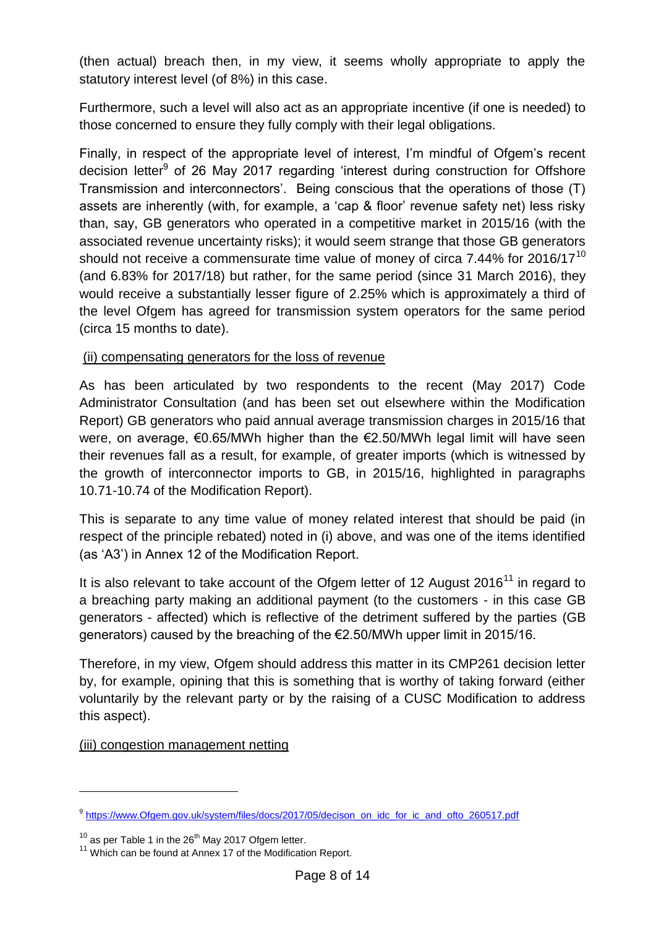(then actual) breach then, in my view, it seems wholly appropriate to apply the statutory interest level (of 8%) in this case.

Furthermore, such a level will also act as an appropriate incentive (if one is needed) to those concerned to ensure they fully comply with their legal obligations.

Finally, in respect of the appropriate level of interest. I'm mindful of Ofgem's recent decision letter<sup>9</sup> of 26 May 2017 regarding 'interest during construction for Offshore Transmission and interconnectors'. Being conscious that the operations of those (T) assets are inherently (with, for example, a 'cap & floor' revenue safety net) less risky than, say, GB generators who operated in a competitive market in 2015/16 (with the associated revenue uncertainty risks); it would seem strange that those GB generators should not receive a commensurate time value of money of circa  $7.44\%$  for  $2016/17^{10}$ (and 6.83% for 2017/18) but rather, for the same period (since 31 March 2016), they would receive a substantially lesser figure of 2.25% which is approximately a third of the level Ofgem has agreed for transmission system operators for the same period (circa 15 months to date).

## (ii) compensating generators for the loss of revenue

As has been articulated by two respondents to the recent (May 2017) Code Administrator Consultation (and has been set out elsewhere within the Modification Report) GB generators who paid annual average transmission charges in 2015/16 that were, on average, €0.65/MWh higher than the €2.50/MWh legal limit will have seen their revenues fall as a result, for example, of greater imports (which is witnessed by the growth of interconnector imports to GB, in 2015/16, highlighted in paragraphs 10.71-10.74 of the Modification Report).

This is separate to any time value of money related interest that should be paid (in respect of the principle rebated) noted in (i) above, and was one of the items identified (as 'A3') in Annex 12 of the Modification Report.

It is also relevant to take account of the Ofgem letter of 12 August 2016<sup>11</sup> in regard to a breaching party making an additional payment (to the customers - in this case GB generators - affected) which is reflective of the detriment suffered by the parties (GB generators) caused by the breaching of the €2.50/MWh upper limit in 2015/16.

Therefore, in my view, Ofgem should address this matter in its CMP261 decision letter by, for example, opining that this is something that is worthy of taking forward (either voluntarily by the relevant party or by the raising of a CUSC Modification to address this aspect).

(iii) congestion management netting

-

<sup>9</sup> [https://www.Ofgem.gov.uk/system/files/docs/2017/05/decison\\_on\\_idc\\_for\\_ic\\_and\\_ofto\\_260517.pdf](https://www.ofgem.gov.uk/system/files/docs/2017/05/decison_on_idc_for_ic_and_ofto_260517.pdf)

 $10$  as per Table 1 in the 26<sup>th</sup> May 2017 Ofgem letter.

<sup>&</sup>lt;sup>11</sup> Which can be found at Annex 17 of the Modification Report.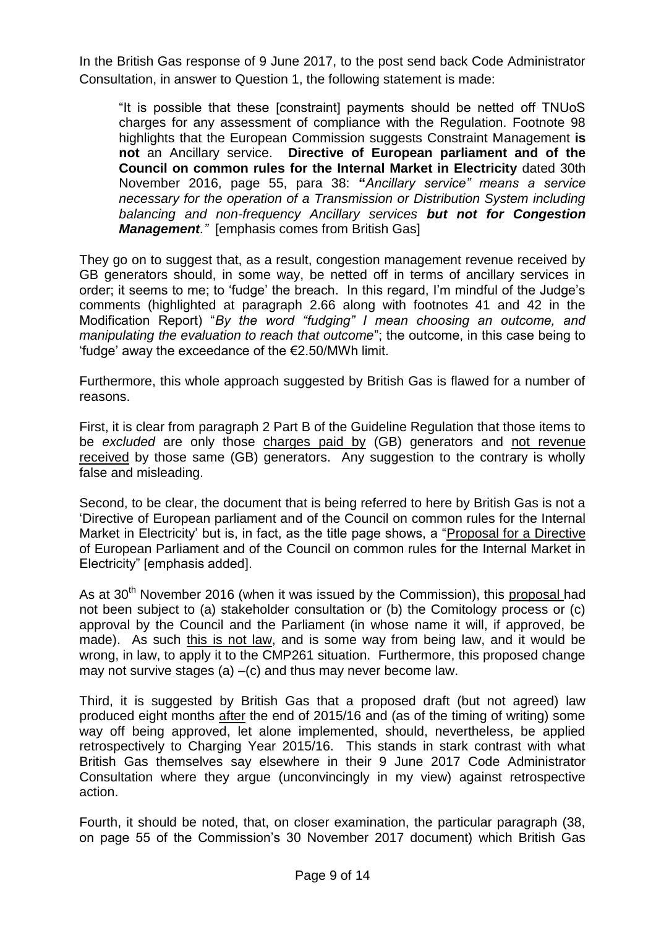In the British Gas response of 9 June 2017, to the post send back Code Administrator Consultation, in answer to Question 1, the following statement is made:

"It is possible that these [constraint] payments should be netted off TNUoS charges for any assessment of compliance with the Regulation. Footnote 98 highlights that the European Commission suggests Constraint Management **is not** an Ancillary service. **Directive of European parliament and of the Council on common rules for the Internal Market in Electricity** dated 30th November 2016, page 55, para 38: **"***Ancillary service" means a service necessary for the operation of a Transmission or Distribution System including balancing and non-frequency Ancillary services but not for Congestion Management."* [emphasis comes from British Gas]

They go on to suggest that, as a result, congestion management revenue received by GB generators should, in some way, be netted off in terms of ancillary services in order; it seems to me; to 'fudge' the breach. In this regard, I'm mindful of the Judge's comments (highlighted at paragraph 2.66 along with footnotes 41 and 42 in the Modification Report) "*By the word "fudging" I mean choosing an outcome, and manipulating the evaluation to reach that outcome*"; the outcome, in this case being to 'fudge' away the exceedance of the €2.50/MWh limit.

Furthermore, this whole approach suggested by British Gas is flawed for a number of reasons.

First, it is clear from paragraph 2 Part B of the Guideline Regulation that those items to be *excluded* are only those charges paid by (GB) generators and not revenue received by those same (GB) generators. Any suggestion to the contrary is wholly false and misleading.

Second, to be clear, the document that is being referred to here by British Gas is not a 'Directive of European parliament and of the Council on common rules for the Internal Market in Electricity' but is, in fact, as the title page shows, a "Proposal for a Directive of European Parliament and of the Council on common rules for the Internal Market in Electricity" [emphasis added].

As at  $30<sup>th</sup>$  November 2016 (when it was issued by the Commission), this proposal had not been subject to (a) stakeholder consultation or (b) the Comitology process or (c) approval by the Council and the Parliament (in whose name it will, if approved, be made). As such this is not law, and is some way from being law, and it would be wrong, in law, to apply it to the CMP261 situation. Furthermore, this proposed change may not survive stages (a) –(c) and thus may never become law.

Third, it is suggested by British Gas that a proposed draft (but not agreed) law produced eight months after the end of 2015/16 and (as of the timing of writing) some way off being approved, let alone implemented, should, nevertheless, be applied retrospectively to Charging Year 2015/16. This stands in stark contrast with what British Gas themselves say elsewhere in their 9 June 2017 Code Administrator Consultation where they argue (unconvincingly in my view) against retrospective action.

Fourth, it should be noted, that, on closer examination, the particular paragraph (38, on page 55 of the Commission's 30 November 2017 document) which British Gas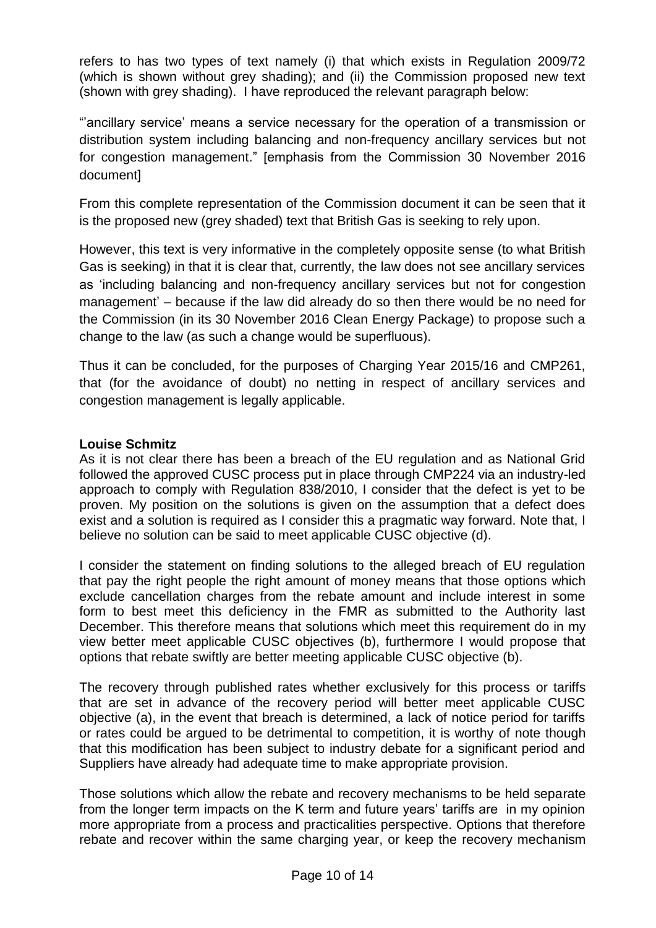refers to has two types of text namely (i) that which exists in Regulation 2009/72 (which is shown without grey shading); and (ii) the Commission proposed new text (shown with grey shading). I have reproduced the relevant paragraph below:

"'ancillary service' means a service necessary for the operation of a transmission or distribution system including balancing and non-frequency ancillary services but not for congestion management." [emphasis from the Commission 30 November 2016 document]

From this complete representation of the Commission document it can be seen that it is the proposed new (grey shaded) text that British Gas is seeking to rely upon.

However, this text is very informative in the completely opposite sense (to what British Gas is seeking) in that it is clear that, currently, the law does not see ancillary services as 'including balancing and non-frequency ancillary services but not for congestion management' – because if the law did already do so then there would be no need for the Commission (in its 30 November 2016 Clean Energy Package) to propose such a change to the law (as such a change would be superfluous).

Thus it can be concluded, for the purposes of Charging Year 2015/16 and CMP261, that (for the avoidance of doubt) no netting in respect of ancillary services and congestion management is legally applicable.

### **Louise Schmitz**

As it is not clear there has been a breach of the EU regulation and as National Grid followed the approved CUSC process put in place through CMP224 via an industry-led approach to comply with Regulation 838/2010, I consider that the defect is yet to be proven. My position on the solutions is given on the assumption that a defect does exist and a solution is required as I consider this a pragmatic way forward. Note that, I believe no solution can be said to meet applicable CUSC objective (d).

I consider the statement on finding solutions to the alleged breach of EU regulation that pay the right people the right amount of money means that those options which exclude cancellation charges from the rebate amount and include interest in some form to best meet this deficiency in the FMR as submitted to the Authority last December. This therefore means that solutions which meet this requirement do in my view better meet applicable CUSC objectives (b), furthermore I would propose that options that rebate swiftly are better meeting applicable CUSC objective (b).

The recovery through published rates whether exclusively for this process or tariffs that are set in advance of the recovery period will better meet applicable CUSC objective (a), in the event that breach is determined, a lack of notice period for tariffs or rates could be argued to be detrimental to competition, it is worthy of note though that this modification has been subject to industry debate for a significant period and Suppliers have already had adequate time to make appropriate provision.

Those solutions which allow the rebate and recovery mechanisms to be held separate from the longer term impacts on the K term and future years' tariffs are in my opinion more appropriate from a process and practicalities perspective. Options that therefore rebate and recover within the same charging year, or keep the recovery mechanism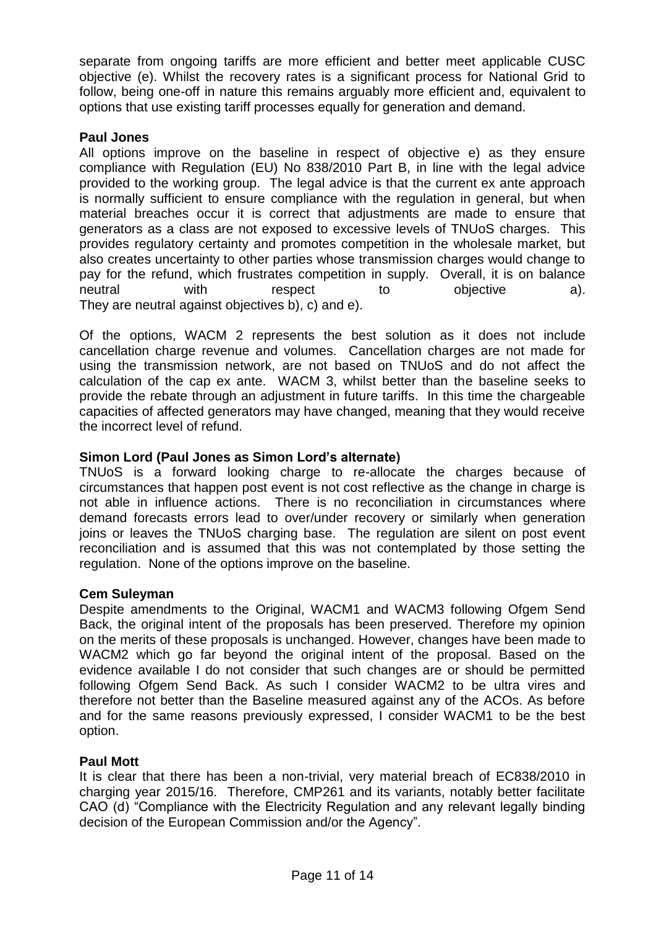separate from ongoing tariffs are more efficient and better meet applicable CUSC objective (e). Whilst the recovery rates is a significant process for National Grid to follow, being one-off in nature this remains arguably more efficient and, equivalent to options that use existing tariff processes equally for generation and demand.

#### **Paul Jones**

All options improve on the baseline in respect of objective e) as they ensure compliance with Regulation (EU) No 838/2010 Part B, in line with the legal advice provided to the working group. The legal advice is that the current ex ante approach is normally sufficient to ensure compliance with the regulation in general, but when material breaches occur it is correct that adjustments are made to ensure that generators as a class are not exposed to excessive levels of TNUoS charges. This provides regulatory certainty and promotes competition in the wholesale market, but also creates uncertainty to other parties whose transmission charges would change to pay for the refund, which frustrates competition in supply. Overall, it is on balance neutral with respect to objective a). They are neutral against objectives b), c) and e).

Of the options, WACM 2 represents the best solution as it does not include cancellation charge revenue and volumes. Cancellation charges are not made for using the transmission network, are not based on TNUoS and do not affect the calculation of the cap ex ante. WACM 3, whilst better than the baseline seeks to provide the rebate through an adjustment in future tariffs. In this time the chargeable capacities of affected generators may have changed, meaning that they would receive the incorrect level of refund.

#### **Simon Lord (Paul Jones as Simon Lord's alternate)**

TNUoS is a forward looking charge to re-allocate the charges because of circumstances that happen post event is not cost reflective as the change in charge is not able in influence actions. There is no reconciliation in circumstances where demand forecasts errors lead to over/under recovery or similarly when generation joins or leaves the TNUoS charging base. The regulation are silent on post event reconciliation and is assumed that this was not contemplated by those setting the regulation. None of the options improve on the baseline.

#### **Cem Suleyman**

Despite amendments to the Original, WACM1 and WACM3 following Ofgem Send Back, the original intent of the proposals has been preserved. Therefore my opinion on the merits of these proposals is unchanged. However, changes have been made to WACM2 which go far beyond the original intent of the proposal. Based on the evidence available I do not consider that such changes are or should be permitted following Ofgem Send Back. As such I consider WACM2 to be ultra vires and therefore not better than the Baseline measured against any of the ACOs. As before and for the same reasons previously expressed, I consider WACM1 to be the best option.

#### **Paul Mott**

It is clear that there has been a non-trivial, very material breach of EC838/2010 in charging year 2015/16. Therefore, CMP261 and its variants, notably better facilitate CAO (d) "Compliance with the Electricity Regulation and any relevant legally binding decision of the European Commission and/or the Agency".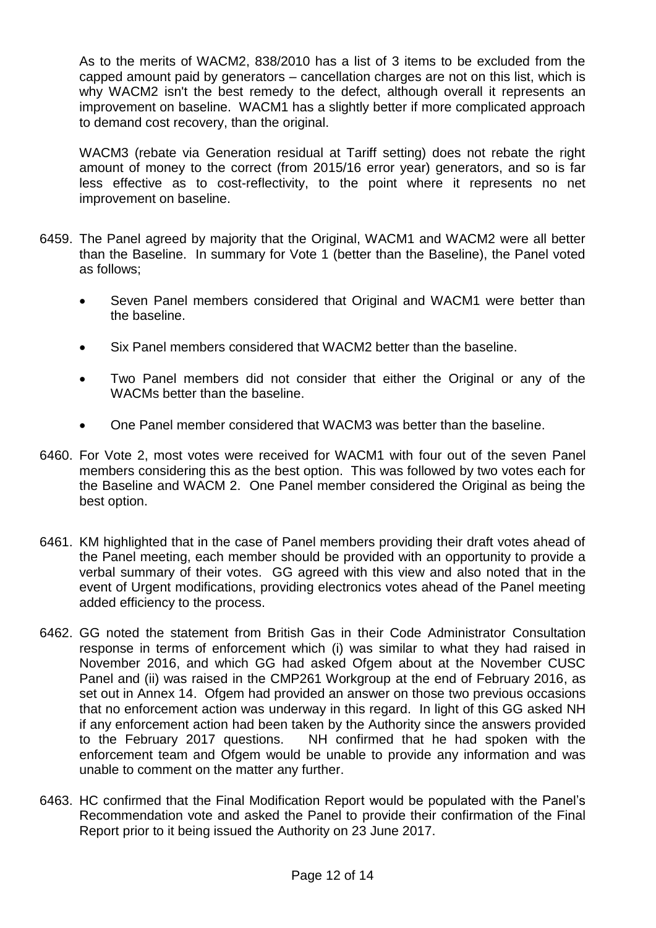As to the merits of WACM2, 838/2010 has a list of 3 items to be excluded from the capped amount paid by generators – cancellation charges are not on this list, which is why WACM2 isn't the best remedy to the defect, although overall it represents an improvement on baseline. WACM1 has a slightly better if more complicated approach to demand cost recovery, than the original.

WACM3 (rebate via Generation residual at Tariff setting) does not rebate the right amount of money to the correct (from 2015/16 error year) generators, and so is far less effective as to cost-reflectivity, to the point where it represents no net improvement on baseline.

- 6459. The Panel agreed by majority that the Original, WACM1 and WACM2 were all better than the Baseline. In summary for Vote 1 (better than the Baseline), the Panel voted as follows;
	- Seven Panel members considered that Original and WACM1 were better than the baseline.
	- Six Panel members considered that WACM2 better than the baseline.
	- Two Panel members did not consider that either the Original or any of the WACMs better than the baseline.
	- One Panel member considered that WACM3 was better than the baseline.
- 6460. For Vote 2, most votes were received for WACM1 with four out of the seven Panel members considering this as the best option. This was followed by two votes each for the Baseline and WACM 2. One Panel member considered the Original as being the best option.
- 6461. KM highlighted that in the case of Panel members providing their draft votes ahead of the Panel meeting, each member should be provided with an opportunity to provide a verbal summary of their votes. GG agreed with this view and also noted that in the event of Urgent modifications, providing electronics votes ahead of the Panel meeting added efficiency to the process.
- 6462. GG noted the statement from British Gas in their Code Administrator Consultation response in terms of enforcement which (i) was similar to what they had raised in November 2016, and which GG had asked Ofgem about at the November CUSC Panel and (ii) was raised in the CMP261 Workgroup at the end of February 2016, as set out in Annex 14. Ofgem had provided an answer on those two previous occasions that no enforcement action was underway in this regard. In light of this GG asked NH if any enforcement action had been taken by the Authority since the answers provided to the February 2017 questions. NH confirmed that he had spoken with the enforcement team and Ofgem would be unable to provide any information and was unable to comment on the matter any further.
- 6463. HC confirmed that the Final Modification Report would be populated with the Panel's Recommendation vote and asked the Panel to provide their confirmation of the Final Report prior to it being issued the Authority on 23 June 2017.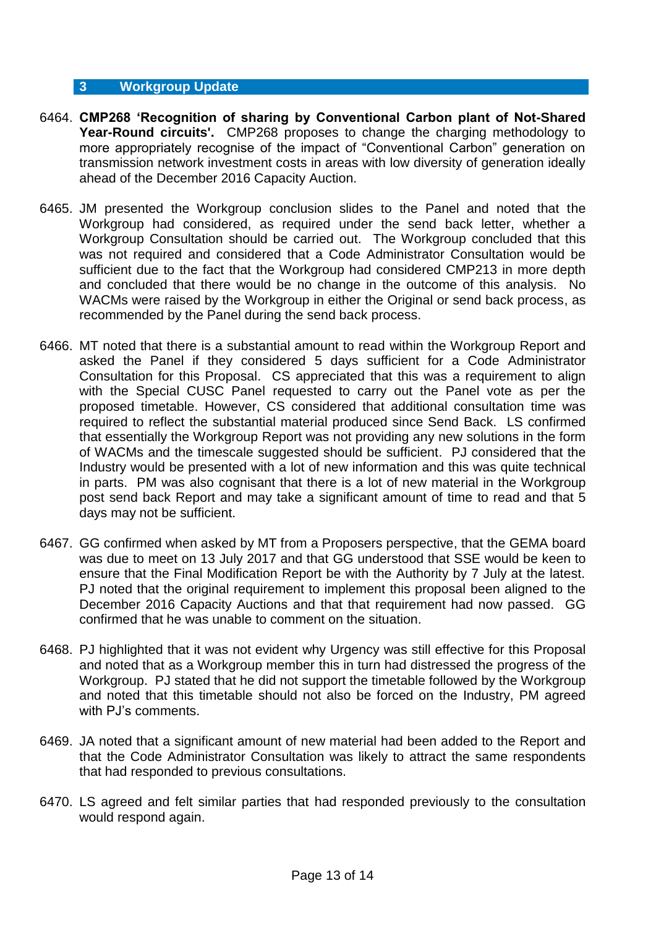#### **3 Workgroup Update**

- 6464. **CMP268 'Recognition of sharing by Conventional Carbon plant of Not-Shared Year-Round circuits'.** CMP268 proposes to change the charging methodology to more appropriately recognise of the impact of "Conventional Carbon" generation on transmission network investment costs in areas with low diversity of generation ideally ahead of the December 2016 Capacity Auction.
- 6465. JM presented the Workgroup conclusion slides to the Panel and noted that the Workgroup had considered, as required under the send back letter, whether a Workgroup Consultation should be carried out. The Workgroup concluded that this was not required and considered that a Code Administrator Consultation would be sufficient due to the fact that the Workgroup had considered CMP213 in more depth and concluded that there would be no change in the outcome of this analysis. No WACMs were raised by the Workgroup in either the Original or send back process, as recommended by the Panel during the send back process.
- 6466. MT noted that there is a substantial amount to read within the Workgroup Report and asked the Panel if they considered 5 days sufficient for a Code Administrator Consultation for this Proposal. CS appreciated that this was a requirement to align with the Special CUSC Panel requested to carry out the Panel vote as per the proposed timetable. However, CS considered that additional consultation time was required to reflect the substantial material produced since Send Back. LS confirmed that essentially the Workgroup Report was not providing any new solutions in the form of WACMs and the timescale suggested should be sufficient. PJ considered that the Industry would be presented with a lot of new information and this was quite technical in parts. PM was also cognisant that there is a lot of new material in the Workgroup post send back Report and may take a significant amount of time to read and that 5 days may not be sufficient.
- 6467. GG confirmed when asked by MT from a Proposers perspective, that the GEMA board was due to meet on 13 July 2017 and that GG understood that SSE would be keen to ensure that the Final Modification Report be with the Authority by 7 July at the latest. PJ noted that the original requirement to implement this proposal been aligned to the December 2016 Capacity Auctions and that that requirement had now passed. GG confirmed that he was unable to comment on the situation.
- 6468. PJ highlighted that it was not evident why Urgency was still effective for this Proposal and noted that as a Workgroup member this in turn had distressed the progress of the Workgroup. PJ stated that he did not support the timetable followed by the Workgroup and noted that this timetable should not also be forced on the Industry, PM agreed with PJ's comments.
- 6469. JA noted that a significant amount of new material had been added to the Report and that the Code Administrator Consultation was likely to attract the same respondents that had responded to previous consultations.
- 6470. LS agreed and felt similar parties that had responded previously to the consultation would respond again.